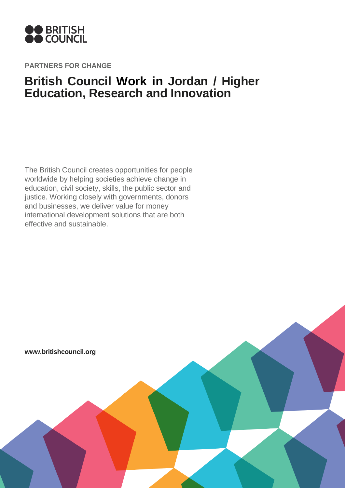

**PARTNERS FOR CHANGE**

# **British Council Work in Jordan / Higher Education, Research and Innovation**

The British Council creates opportunities for people worldwide by helping societies achieve change in education, civil society, skills, the public sector and justice. Working closely with governments, donors and businesses, we deliver value for money international development solutions that are both effective and sustainable.

**www.britishcouncil.org**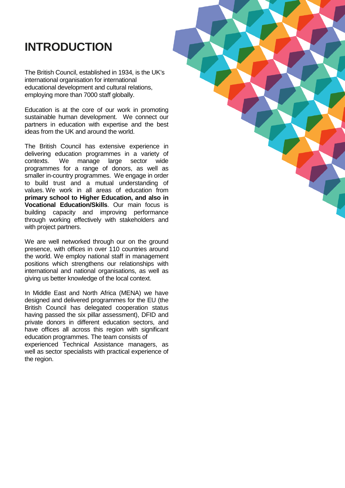# **INTRODUCTION**

The British Council, established in 1934, is the UK's international organisation for international educational development and cultural relations, employing more than 7000 staff globally.

Education is at the core of our work in promoting sustainable human development. We connect our partners in education with expertise and the best ideas from the UK and around the world.

The British Council has extensive experience in delivering education programmes in a variety of contexts. We manage large sector wide manage large sector wide programmes for a range of donors, as well as smaller in-country programmes. We engage in order to build trust and a mutual understanding of values. We work in all areas of education from **primary school to Higher Education, and also in Vocational Education/Skills**. Our main focus is building capacity and improving performance through working effectively with stakeholders and with project partners.

We are well networked through our on the ground presence, with offices in over 110 countries around the world. We employ national staff in management positions which strengthens our relationships with international and national organisations, as well as giving us better knowledge of the local context.

In Middle East and North Africa (MENA) we have designed and delivered programmes for the EU (the British Council has delegated cooperation status having passed the six pillar assessment), DFID and private donors in different education sectors, and have offices all across this region with significant education programmes. The team consists of experienced Technical Assistance managers, as well as sector specialists with practical experience of the region.

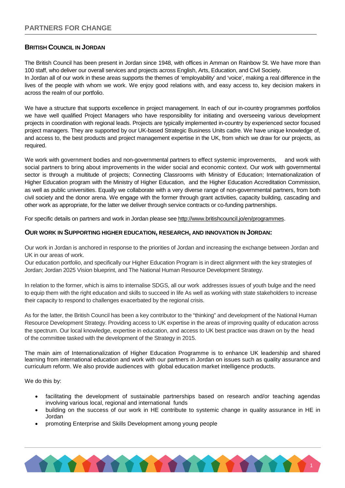### **BRITISH COUNCIL IN JORDAN**

The British Council has been present in Jordan since 1948, with offices in Amman on Rainbow St. We have more than 100 staff, who deliver our overall services and projects across English, Arts, Education, and Civil Society. In Jordan all of our work in these areas supports the themes of 'employability' and 'voice', making a real difference in the lives of the people with whom we work. We enjoy good relations with, and easy access to, key decision makers in across the realm of our portfolio.

We have a structure that supports excellence in project management. In each of our in-country programmes portfolios we have well qualified Project Managers who have responsibility for initiating and overseeing various development projects in coordination with regional leads. Projects are typically implemented in-country by experienced sector focused project managers. They are supported by our UK-based Strategic Business Units cadre. We have unique knowledge of, and access to, the best products and project management expertise in the UK, from which we draw for our projects, as required.

We work with government bodies and non-governmental partners to effect systemic improvements, and work with social partners to bring about improvements in the wider social and economic context. Our work with governmental sector is through a multitude of projects; Connecting Classrooms with Ministry of Education; Internationalization of Higher Education program with the Ministry of Higher Education, and the Higher Education Accreditation Commission, as well as public universities. Equally we collaborate with a very diverse range of non-governmental partners, from both civil society and the donor arena. We engage with the former through grant activities, capacity building, cascading and other work as appropriate, for the latter we deliver through service contracts or co-funding partnerships.

For specific details on partners and work in Jordan please see [http://www.britishcouncil.jo/en/programmes.](http://www.britishcouncil.jo/en/programmes)

#### **OUR WORK IN SUPPORTING HIGHER EDUCATION, RESEARCH, AND INNOVATION IN JORDAN:**

Our work in Jordan is anchored in response to the priorities of Jordan and increasing the exchange between Jordan and UK in our areas of work.

Our education portfolio, and specifically our Higher Education Program is in direct alignment with the key strategies of Jordan; Jordan 2025 Vision blueprint, and The National Human Resource Development Strategy.

In relation to the former, which is aims to internalise SDGS, all our work addresses issues of youth bulge and the need to equip them with the right education and skills to succeed in life As well as working with state stakeholders to increase their capacity to respond to challenges exacerbated by the regional crisis.

As for the latter, the British Council has been a key contributor to the "thinking" and development of the National Human Resource Development Strategy. Providing access to UK expertise in the areas of improving quality of education across the spectrum. Our local knowledge, expertise in education, and access to UK best practice was drawn on by the head of the committee tasked with the development of the Strategy in 2015.

The main aim of Internationalization of Higher Education Programme is to enhance UK leadership and shared learning from international education and work with our partners in Jordan on issues such as quality assurance and curriculum reform. We also provide audiences with global education market intelligence products.

We do this by:

- facilitating the development of sustainable partnerships based on research and/or teaching agendas involving various local, regional and international funds
- building on the success of our work in HE contribute to systemic change in quality assurance in HE in Jordan
- promoting Enterprise and Skills Development among young people

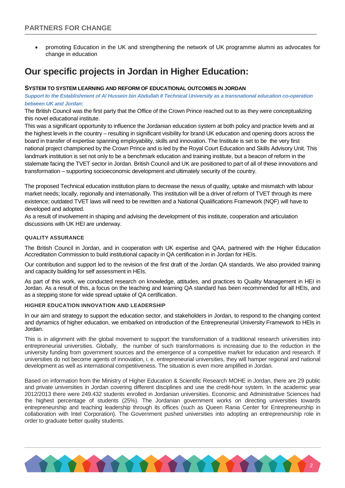• promoting Education in the UK and strengthening the network of UK programme alumni as advocates for change in education

# **Our specific projects in Jordan in Higher Education:**

#### **SYSTEM TO SYSTEM LEARNING AND REFORM OF EDUCATIONAL OUTCOMES IN JORDAN**

*Support to the Establishment of Al Hussein bin Abdullah II Technical University as a transnational education co-operation between UK and Jordan:*

The British Council was the first party that the Office of the Crown Prince reached out to as they were conceptualizing this novel educational institute.

This was a significant opportunity to influence the Jordanian education system at both policy and practice levels and at the highest levels in the country – resulting in significant visibility for brand UK education and opening doors across the board in transfer of expertise spanning employability, skills and innovation. The Institute is set to be the very first national project championed by the Crown Prince and is led by the Royal Court Education and Skills Advisory Unit. This landmark institution is set not only to be a benchmark education and training institute, but a beacon of reform in the stalemate facing the TVET sector in Jordan. British Council and UK are positioned to part of all of these innovations and transformation – supporting socioeconomic development and ultimately security of the country.

The proposed Technical education institution plans to decrease the nexus of quality, uptake and mismatch with labour market needs; locally, regionally and internationally. This institution will be a driver of reform of TVET through its mere existence; outdated TVET laws will need to be rewritten and a National Qualifications Framework (NQF) will have to developed and adopted.

As a result of involvement in shaping and advising the development of this institute, cooperation and articulation discussions with UK HEI are underway.

#### **QUALITY ASSURANCE**

The British Council in Jordan, and in cooperation with UK expertise and QAA, partnered with the Higher Education Accreditation Commission to build institutional capacity in QA certification in in Jordan for HEIs.

Our contribution and support led to the revision of the first draft of the Jordan QA standards. We also provided training and capacity building for self assessment in HEIs.

As part of this work, we conducted research on knowledge, attitudes, and practices to Quality Management in HEI in Jordan. As a result of this, a focus on the teaching and learning QA standard has been recommended for all HEIs, and as a stepping stone for wide spread uptake of QA certification.

#### **HIGHER EDUCATION INNOVATION AND LEADERSHIP**

In our aim and strategy to support the education sector, and stakeholders in Jordan, to respond to the changing context and dynamics of higher education, we embarked on introduction of the Entrepreneurial University Framework to HEIs in Jordan.

This is in alignment with the global movement to support the transformation of a traditional research universities into entrepreneurial universities. Globally, the number of such transformations is increasing due to the reduction in the university funding from government sources and the emergence of a competitive market for education and research. If universities do not become agents of innovation, i. e. entrepreneurial universities, they will hamper regional and national development as well as international competitiveness. The situation is even more amplified in Jordan.

Based on information from the Ministry of Higher Education & Scientific Research MOHE in Jordan, there are 29 public and private universities in Jordan covering different disciplines and use the credit-hour system. In the academic year 2012/2013 there were 249.432 students enrolled in Jordanian universities. Economic and Administrative Sciences had the highest percentage of students (25%). The Jordanian government works on directing universities towards entrepreneurship and teaching leadership through its offices (such as Queen Rania Center for Entrepreneurship in collaboration with Intel Corporation). The Government pushed universities into adopting an entrepreneurship role in order to graduate better quality students.

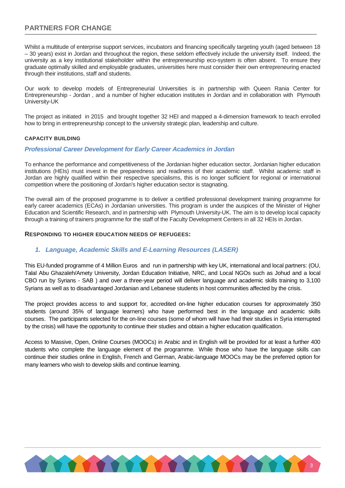# **PARTNERS FOR CHANGE**

Whilst a multitude of enterprise support services, incubators and financing specifically targeting youth (aged between 18 – 30 years) exist in Jordan and throughout the region, these seldom effectively include the university itself. Indeed, the university as a key institutional stakeholder within the entrepreneurship eco-system is often absent. To ensure they graduate optimally skilled and employable graduates, universities here must consider their own entrepreneuring enacted through their institutions, staff and students.

Our work to develop models of Entrepreneurial Universities is in partnership with Queen Rania Center for Entrepreneurship - Jordan , and a number of higher education institutes in Jordan and in collaboration with Plymouth University-UK

The project as initiated in 2015 and brought together 32 HEI and mapped a 4-dimension framework to teach enrolled how to bring in entrepreneurship concept to the university strategic plan, leadership and culture.

#### **CAPACITY BUILDING**

#### *Professional Career Development for Early Career Academics in Jordan*

To enhance the performance and competitiveness of the Jordanian higher education sector, Jordanian higher education institutions (HEIs) must invest in the preparedness and readiness of their academic staff. Whilst academic staff in Jordan are highly qualified within their respective specialisms, this is no longer sufficient for regional or international competition where the positioning of Jordan's higher education sector is stagnating.

The overall aim of the proposed programme is to deliver a certified professional development training programme for early career academics (ECAs) in Jordanian universities. This program is under the auspices of the Minister of Higher Education and Scientific Research, and in partnership with Plymouth University-UK. The aim is to develop local capacity through a training of trainers programme for the staff of the Faculty Development Centers in all 32 HEIs in Jordan.

#### **RESPONDING TO HIGHER EDUCATION NEEDS OF REFUGEES:**

### *1. Language, Academic Skills and E-Learning Resources (LASER)*

This EU-funded programme of 4 Million Euros and run in partnership with key UK, international and local partners: (OU, Talal Abu Ghazaleh/Amety University, Jordan Education Initiative, NRC, and Local NGOs such as Johud and a local CBO run by Syrians - SAB ) and over a three-year period will deliver language and academic skills training to 3,100 Syrians as well as to disadvantaged Jordanian and Lebanese students in host communities affected by the crisis.

The project provides access to and support for, accredited on-line higher education courses for approximately 350 students (around 35% of language learners) who have performed best in the language and academic skills courses. The participants selected for the on-line courses (some of whom will have had their studies in Syria interrupted by the crisis) will have the opportunity to continue their studies and obtain a higher education qualification.

Access to Massive, Open, Online Courses (MOOCs) in Arabic and in English will be provided for at least a further 400 students who complete the language element of the programme. While those who have the language skills can continue their studies online in English, French and German, Arabic-language MOOCs may be the preferred option for many learners who wish to develop skills and continue learning.

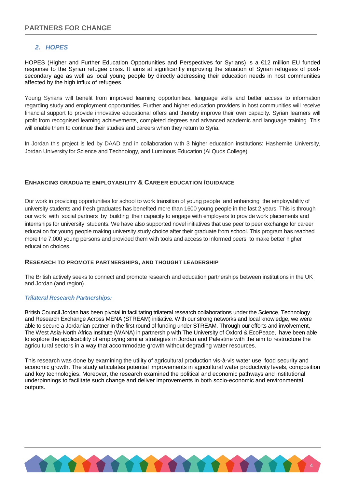## *2. HOPES*

HOPES (Higher and Further Education Opportunities and Perspectives for Syrians) is a €12 million EU funded response to the Syrian refugee crisis. It aims at significantly improving the situation of Syrian refugees of postsecondary age as well as local young people by directly addressing their education needs in host communities affected by the high influx of refugees.

Young Syrians will benefit from improved learning opportunities, language skills and better access to information regarding study and employment opportunities. Further and higher education providers in host communities will receive financial support to provide innovative educational offers and thereby improve their own capacity. Syrian learners will profit from recognised learning achievements, completed degrees and advanced academic and language training. This will enable them to continue their studies and careers when they return to Syria.

In Jordan this project is led by DAAD and in collaboration with 3 higher education institutions: Hashemite University, Jordan University for Science and Technology, and Luminous Education (Al Quds College).

#### **ENHANCING GRADUATE EMPLOYABILITY & CAREER EDUCATION /GUIDANCE**

Our work in providing opportunities for school to work transition of young people and enhancing the employability of university students and fresh graduates has benefited more than 1600 young people in the last 2 years. This is through our work with social partners by building their capacity to engage with employers to provide work placements and internships for university students. We have also supported novel initiatives that use peer to peer exchange for career education for young people making university study choice after their graduate from school. This program has reached more the 7,000 young persons and provided them with tools and access to informed peers to make better higher education choices.

#### **RESEARCH TO PROMOTE PARTNERSHIPS, AND THOUGHT LEADERSHIP**

The British actively seeks to connect and promote research and education partnerships between institutions in the UK and Jordan (and region).

#### *Trilateral Research Partnerships:*

British Council Jordan has been pivotal in facilitating trilateral research collaborations under the Science, Technology and Research Exchange Across MENA (STREAM) initiative. With our strong networks and local knowledge, we were able to secure a Jordanian partner in the first round of funding under STREAM. Through our efforts and involvement, The West Asia-North Africa Institute (WANA) in partnership with The University of Oxford & EcoPeace, have been able to explore the applicability of employing similar strategies in Jordan and Palestine with the aim to restructure the agricultural sectors in a way that accommodate growth without degrading water resources.

This research was done by examining the utility of agricultural production vis-à-vis water use, food security and economic growth. The study articulates potential improvements in agricultural water productivity levels, composition and key technologies. Moreover, the research examined the political and economic pathways and institutional underpinnings to facilitate such change and deliver improvements in both socio-economic and environmental outputs.

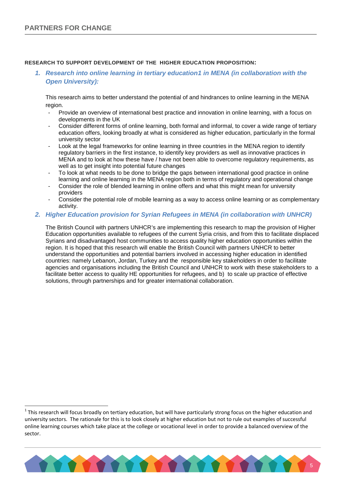#### **RESEARCH TO SUPPORT DEVELOPMENT OF THE HIGHER EDUCATION PROPOSITION:**

*1. Research into online learning in tertiary educatio[n1](#page-6-0) in MENA (in collaboration with the Open University):*

This research aims to better understand the potential of and hindrances to online learning in the MENA region.

- Provide an overview of international best practice and innovation in online learning, with a focus on developments in the UK
- Consider different forms of online learning, both formal and informal, to cover a wide range of tertiary education offers, looking broadly at what is considered as higher education, particularly in the formal university sector
- Look at the legal frameworks for online learning in three countries in the MENA region to identify regulatory barriers in the first instance, to identify key providers as well as innovative practices in MENA and to look at how these have / have not been able to overcome regulatory requirements, as well as to get insight into potential future changes
- To look at what needs to be done to bridge the gaps between international good practice in online learning and online learning in the MENA region both in terms of regulatory and operational change
- Consider the role of blended learning in online offers and what this might mean for university providers
- Consider the potential role of mobile learning as a way to access online learning or as complementary activity.

#### *2. Higher Education provision for Syrian Refugees in MENA (in collaboration with UNHCR)*

The British Council with partners UNHCR's are implementing this research to map the provision of Higher Education opportunities available to refugees of the current Syria crisis, and from this to facilitate displaced Syrians and disadvantaged host communities to access quality higher education opportunities within the region. It is hoped that this research will enable the British Council with partners UNHCR to better understand the opportunities and potential barriers involved in accessing higher education in identified countries: namely Lebanon, Jordan, Turkey and the responsible key stakeholders in order to facilitate agencies and organisations including the British Council and UNHCR to work with these stakeholders to a facilitate better access to quality HE opportunities for refugees, and b) to scale up practice of effective solutions, through partnerships and for greater international collaboration.

<span id="page-6-0"></span> $1$  This research will focus broadly on tertiary education, but will have particularly strong focus on the higher education and university sectors. The rationale for this is to look closely at higher education but not to rule out examples of successful online learning courses which take place at the college or vocational level in order to provide a balanced overview of the sector.